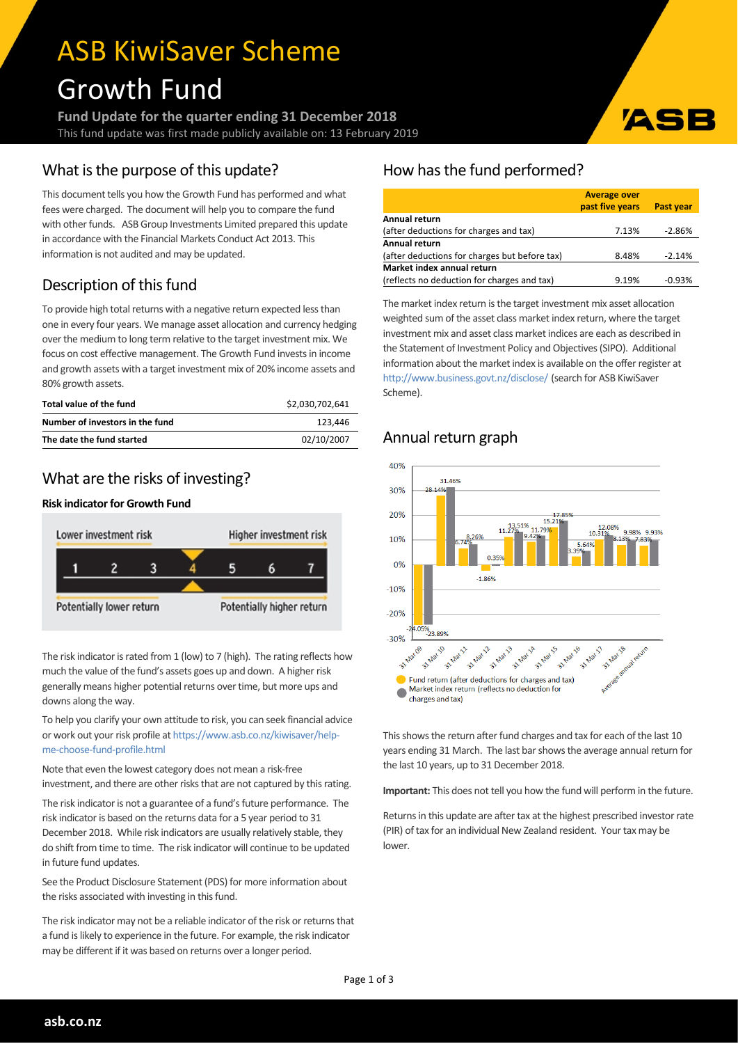# ASB KiwiSaver Scheme Growth Fund

**Fund Update for the quarter ending 31 December 2018** This fund update was first made publicly available on: 13 February 2019

# What is the purpose of this update?

This document tells you how the Growth Fund has performed and what fees were charged. The document will help you to compare the fund with other funds. ASB Group Investments Limited prepared this update in accordance with the Financial Markets Conduct Act 2013. This information is not audited and may be updated.

# Description of this fund

To provide high total returns with a negative return expected less than one in every four years. We manage asset allocation and currency hedging over the medium to long term relative to the target investment mix. We focus on cost effective management. The Growth Fund invests in income and growth assets with a target investment mix of 20% income assets and 80% growth assets.

| Total value of the fund         | \$2.030.702.641 |
|---------------------------------|-----------------|
| Number of investors in the fund | 123.446         |
| The date the fund started       | 02/10/2007      |

# What are the risks of investing?

## **Risk indicator for Growth Fund**



The risk indicator is rated from 1 (low) to 7 (high). The rating reflects how much the value of the fund's assets goes up and down. A higher risk generally means higher potential returns over time, but more ups and downs along the way.

To help you clarify your own attitude to risk, you can seek financial advice or work out your risk profile at [https://www.asb.co.nz/kiwisaver/help](https://www.asb.co.nz/kiwisaver/help-me-choose-fund-profile.html)[me-choose-fund-profile.html](https://www.asb.co.nz/kiwisaver/help-me-choose-fund-profile.html)

Note that even the lowest category does not mean a risk-free investment, and there are other risks that are not captured by this rating.

The risk indicator is not a guarantee of a fund's future performance. The risk indicator is based on the returns data for a 5 year period to 31 December 2018. While risk indicators are usually relatively stable, they do shift from time to time. The risk indicator will continue to be updated in future fund updates.

See the Product Disclosure Statement (PDS) for more information about the risks associated with investing in this fund.

The risk indicator may not be a reliable indicator of the risk or returns that a fund is likely to experience in the future. For example, the risk indicator may be different if it was based on returns over a longer period.

## How has the fund performed?

|                                               | <b>Average over</b><br>past five years | Past year |  |  |  |
|-----------------------------------------------|----------------------------------------|-----------|--|--|--|
| Annual return                                 |                                        |           |  |  |  |
| (after deductions for charges and tax)        | 7.13%                                  | $-2.86%$  |  |  |  |
| Annual return                                 |                                        |           |  |  |  |
| (after deductions for charges but before tax) | 8.48%                                  | $-2.14%$  |  |  |  |
| Market index annual return                    |                                        |           |  |  |  |
| (reflects no deduction for charges and tax)   | 9.19%                                  | $-0.93%$  |  |  |  |

**IAG** 

The market index return is the target investment mix asset allocation weighted sum of the asset class market index return, where the target investment mix and asset class market indices are each as described in the Statement of Investment Policy and Objectives(SIPO). Additional information about the market index is available on the offer register at <http://www.business.govt.nz/disclose/> (search for ASB KiwiSaver Scheme).

# Annual return graph



This shows the return after fund charges and tax for each of the last 10 years ending 31 March. The last bar shows the average annual return for the last 10 years, up to 31 December 2018.

**Important:** This does not tell you how the fund will perform in the future.

Returns in this update are after tax at the highest prescribed investor rate (PIR) of tax for an individual New Zealand resident. Yourtax may be lower.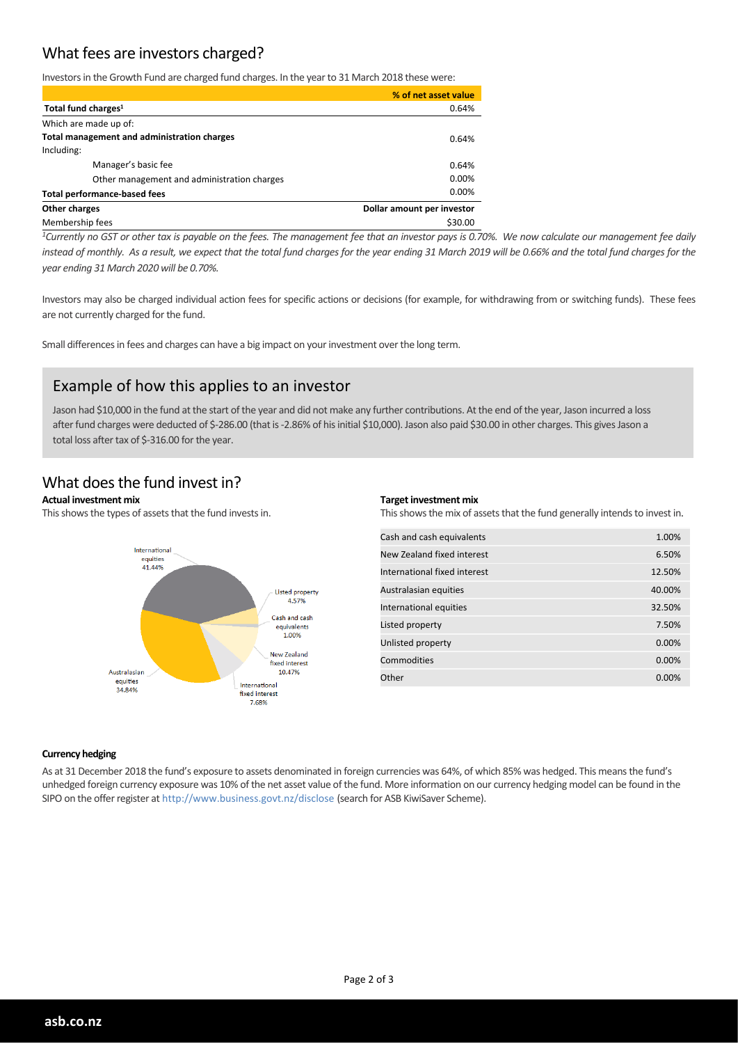# What fees are investors charged?

Investors in the Growth Fund are charged fund charges. In the year to 31 March 2018 these were:

|                                             | % of net asset value       |
|---------------------------------------------|----------------------------|
| Total fund charges <sup>1</sup>             | 0.64%                      |
| Which are made up of:                       |                            |
| Total management and administration charges | 0.64%                      |
| Including:                                  |                            |
| Manager's basic fee                         | 0.64%                      |
| Other management and administration charges | 0.00%                      |
| <b>Total performance-based fees</b>         | 0.00%                      |
| Other charges                               | Dollar amount per investor |
| Membership fees                             | \$30.00                    |

<sup>1</sup>Currently no GST or other tax is payable on the fees. The management fee that an investor pays is 0.70%. We now calculate our management fee daily instead of monthly. As a result, we expect that the total fund charges for the year ending 31 March 2019 will be 0.66% and the total fund charges for the *year ending 31 March 2020 will be 0.70%.*

Investors may also be charged individual action fees for specific actions or decisions (for example, for withdrawing from or switching funds). These fees are not currently charged for the fund.

Small differences in fees and charges can have a big impact on your investment over the long term.

## Example of how this applies to an investor

Jason had \$10,000 in the fund at the start of the year and did not make any further contributions. At the end of the year, Jason incurred a loss after fund charges were deducted of \$-286.00 (that is -2.86% of his initial \$10,000). Jason also paid \$30.00 in other charges. This gives Jason a total loss after tax of \$-316.00 for the year.

## What does the fund invest in?

#### **Actual investment mix**

This shows the types of assets that the fund invests in.



#### **Target investment mix**

This shows the mix of assets that the fund generally intends to invest in.

| 1.00%    |
|----------|
| 6.50%    |
| 12.50%   |
| 40.00%   |
| 32.50%   |
| 7.50%    |
| $0.00\%$ |
| $0.00\%$ |
| $0.00\%$ |
|          |

#### **Currency hedging**

As at 31 December 2018 the fund's exposure to assets denominated in foreign currencies was 64%, of which 85% was hedged. This meansthe fund's unhedged foreign currency exposure was 10% of the net asset value of the fund. More information on our currency hedging model can be found in the SIPO on the offerregister at http://www.business.govt.nz/disclose (search for ASB KiwiSaver Scheme).